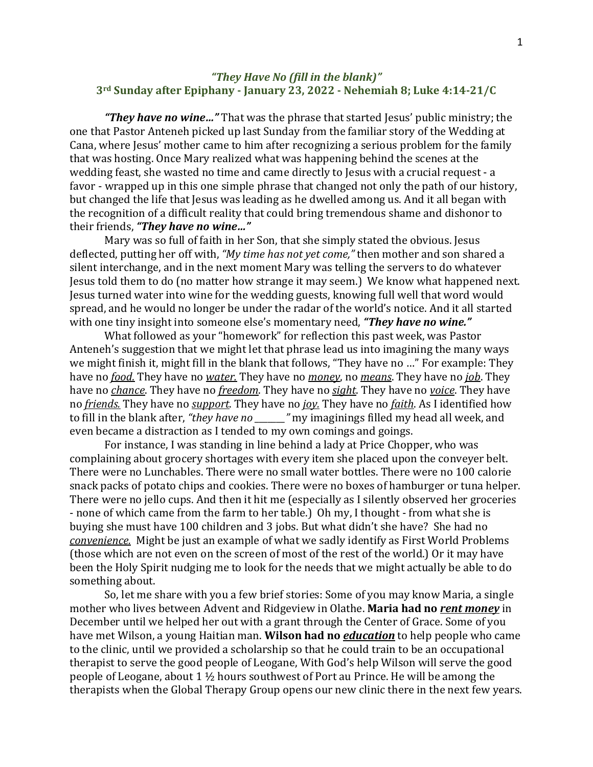## *"They Have No (fill in the blank)"* **3rd Sunday after Epiphany - January 23, 2022 - Nehemiah 8; Luke 4:14-21/C**

*"They have no wine…"* That was the phrase that started Jesus' public ministry; the one that Pastor Anteneh picked up last Sunday from the familiar story of the Wedding at Cana, where Jesus' mother came to him after recognizing a serious problem for the family that was hosting. Once Mary realized what was happening behind the scenes at the wedding feast, she wasted no time and came directly to Jesus with a crucial request - a favor - wrapped up in this one simple phrase that changed not only the path of our history, but changed the life that Jesus was leading as he dwelled among us. And it all began with the recognition of a difficult reality that could bring tremendous shame and dishonor to their friends, *"They have no wine…"*

Mary was so full of faith in her Son, that she simply stated the obvious. Jesus deflected, putting her off with, *"My time has not yet come,"* then mother and son shared a silent interchange, and in the next moment Mary was telling the servers to do whatever Jesus told them to do (no matter how strange it may seem.) We know what happened next. Jesus turned water into wine for the wedding guests, knowing full well that word would spread, and he would no longer be under the radar of the world's notice. And it all started with one tiny insight into someone else's momentary need, *"They have no wine."*

What followed as your "homework" for reflection this past week, was Pastor Anteneh's suggestion that we might let that phrase lead us into imagining the many ways we might finish it, might fill in the blank that follows, "They have no …" For example: They have no *food.* They have no *water.* They have no *money*, no *means*. They have no *job*. They have no *chance*. They have no *freedom*. They have no *sight*. They have no *voice*. They have no *friends.* They have no *support*. They have no *joy.* They have no *faith*. As I identified how to fill in the blank after, *"they have no \_\_\_\_\_\_\_"* my imaginings filled my head all week, and even became a distraction as I tended to my own comings and goings.

For instance, I was standing in line behind a lady at Price Chopper, who was complaining about grocery shortages with every item she placed upon the conveyer belt. There were no Lunchables. There were no small water bottles. There were no 100 calorie snack packs of potato chips and cookies. There were no boxes of hamburger or tuna helper. There were no jello cups. And then it hit me (especially as I silently observed her groceries - none of which came from the farm to her table.) Oh my, I thought - from what she is buying she must have 100 children and 3 jobs. But what didn't she have? She had no *convenience.* Might be just an example of what we sadly identify as First World Problems (those which are not even on the screen of most of the rest of the world.) Or it may have been the Holy Spirit nudging me to look for the needs that we might actually be able to do something about.

So, let me share with you a few brief stories: Some of you may know Maria, a single mother who lives between Advent and Ridgeview in Olathe. **Maria had no** *rent money* in December until we helped her out with a grant through the Center of Grace. Some of you have met Wilson, a young Haitian man. **Wilson had no** *education* to help people who came to the clinic, until we provided a scholarship so that he could train to be an occupational therapist to serve the good people of Leogane, With God's help Wilson will serve the good people of Leogane, about 1 ½ hours southwest of Port au Prince. He will be among the therapists when the Global Therapy Group opens our new clinic there in the next few years.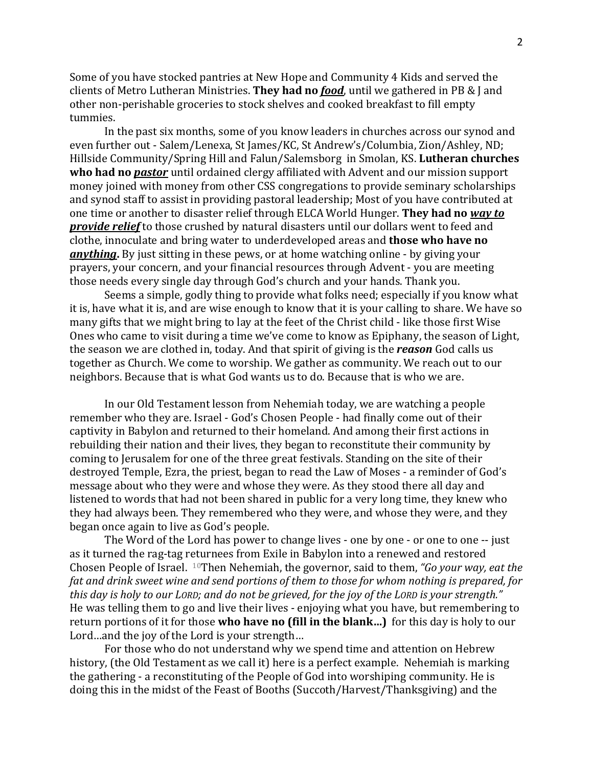Some of you have stocked pantries at New Hope and Community 4 Kids and served the clients of Metro Lutheran Ministries. **They had no** *food*, until we gathered in PB & J and other non-perishable groceries to stock shelves and cooked breakfast to fill empty tummies.

In the past six months, some of you know leaders in churches across our synod and even further out - Salem/Lenexa, St James/KC, St Andrew's/Columbia, Zion/Ashley, ND; Hillside Community/Spring Hill and Falun/Salemsborg in Smolan, KS. **Lutheran churches who had no** *pastor* until ordained clergy affiliated with Advent and our mission support money joined with money from other CSS congregations to provide seminary scholarships and synod staff to assist in providing pastoral leadership; Most of you have contributed at one time or another to disaster relief through ELCA World Hunger. **They had no** *way to provide relief* to those crushed by natural disasters until our dollars went to feed and clothe, innoculate and bring water to underdeveloped areas and **those who have no** *anything***.** By just sitting in these pews, or at home watching online - by giving your prayers, your concern, and your financial resources through Advent - you are meeting those needs every single day through God's church and your hands. Thank you.

Seems a simple, godly thing to provide what folks need; especially if you know what it is, have what it is, and are wise enough to know that it is your calling to share. We have so many gifts that we might bring to lay at the feet of the Christ child - like those first Wise Ones who came to visit during a time we've come to know as Epiphany, the season of Light, the season we are clothed in, today. And that spirit of giving is the *reason* God calls us together as Church. We come to worship. We gather as community. We reach out to our neighbors. Because that is what God wants us to do. Because that is who we are.

In our Old Testament lesson from Nehemiah today, we are watching a people remember who they are. Israel - God's Chosen People - had finally come out of their captivity in Babylon and returned to their homeland. And among their first actions in rebuilding their nation and their lives, they began to reconstitute their community by coming to Jerusalem for one of the three great festivals. Standing on the site of their destroyed Temple, Ezra, the priest, began to read the Law of Moses - a reminder of God's message about who they were and whose they were. As they stood there all day and listened to words that had not been shared in public for a very long time, they knew who they had always been. They remembered who they were, and whose they were, and they began once again to live as God's people.

The Word of the Lord has power to change lives - one by one - or one to one -- just as it turned the rag-tag returnees from Exile in Babylon into a renewed and restored Chosen People of Israel. <sup>10</sup>Then Nehemiah, the governor, said to them, *"Go your way, eat the* fat and drink sweet wine and send portions of them to those for whom nothing is prepared, for *this day is holy to our LORD; and do not be grieved, for the joy of the LORD is your strength."* He was telling them to go and live their lives - enjoying what you have, but remembering to return portions of it for those **who have no (fill in the blank…)** for this day is holy to our Lord…and the joy of the Lord is your strength…

For those who do not understand why we spend time and attention on Hebrew history, (the Old Testament as we call it) here is a perfect example. Nehemiah is marking the gathering - a reconstituting of the People of God into worshiping community. He is doing this in the midst of the Feast of Booths (Succoth/Harvest/Thanksgiving) and the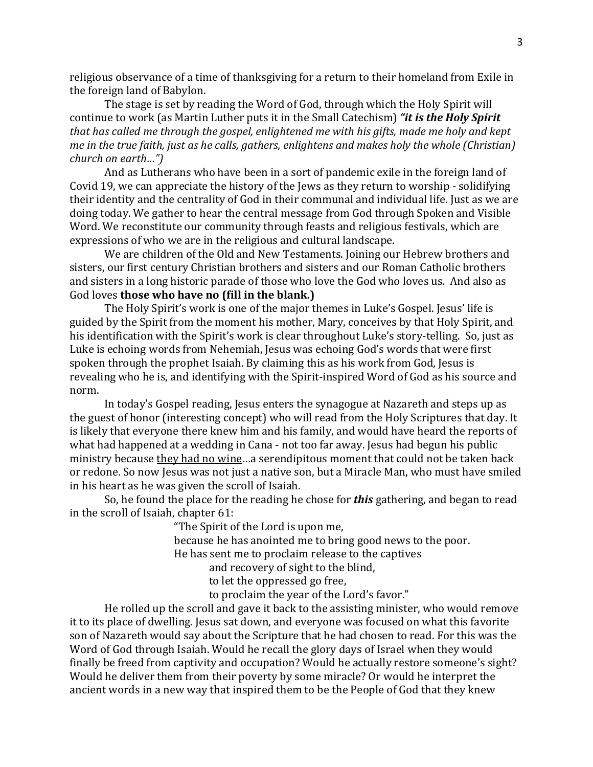religious observance of a time of thanksgiving for a return to their homeland from Exile in the foreign land of Babylon.

The stage is set by reading the Word of God, through which the Holy Spirit will continue to work (as Martin Luther puts it in the Small Catechism) *"it is the Holy Spirit that has called me through the gospel, enlightened me with his gifts, made me holy and kept me in the true faith, just as he calls, gathers, enlightens and makes holy the whole (Christian) church on earth…")*

And as Lutherans who have been in a sort of pandemic exile in the foreign land of Covid 19, we can appreciate the history of the Jews as they return to worship - solidifying their identity and the centrality of God in their communal and individual life. Just as we are doing today. We gather to hear the central message from God through Spoken and Visible Word. We reconstitute our community through feasts and religious festivals, which are expressions of who we are in the religious and cultural landscape.

We are children of the Old and New Testaments. Joining our Hebrew brothers and sisters, our first century Christian brothers and sisters and our Roman Catholic brothers and sisters in a long historic parade of those who love the God who loves us. And also as God loves **those who have no (fill in the blank.)**

The Holy Spirit's work is one of the major themes in Luke's Gospel. Jesus' life is guided by the Spirit from the moment his mother, Mary, conceives by that Holy Spirit, and his identification with the Spirit's work is clear throughout Luke's story-telling. So, just as Luke is echoing words from Nehemiah, Jesus was echoing God's words that were first spoken through the prophet Isaiah. By claiming this as his work from God, Jesus is revealing who he is, and identifying with the Spirit-inspired Word of God as his source and norm.

In today's Gospel reading, Jesus enters the synagogue at Nazareth and steps up as the guest of honor (interesting concept) who will read from the Holy Scriptures that day. It is likely that everyone there knew him and his family, and would have heard the reports of what had happened at a wedding in Cana - not too far away. Jesus had begun his public ministry because they had no wine…a serendipitous moment that could not be taken back or redone. So now Jesus was not just a native son, but a Miracle Man, who must have smiled in his heart as he was given the scroll of Isaiah.

So, he found the place for the reading he chose for *this* gathering, and began to read in the scroll of Isaiah, chapter 61:

"The Spirit of the Lord is upon me,

because he has anointed me to bring good news to the poor.

He has sent me to proclaim release to the captives

and recovery of sight to the blind,

to let the oppressed go free,

to proclaim the year of the Lord's favor."

He rolled up the scroll and gave it back to the assisting minister, who would remove it to its place of dwelling. Jesus sat down, and everyone was focused on what this favorite son of Nazareth would say about the Scripture that he had chosen to read. For this was the Word of God through Isaiah. Would he recall the glory days of Israel when they would finally be freed from captivity and occupation? Would he actually restore someone's sight? Would he deliver them from their poverty by some miracle? Or would he interpret the ancient words in a new way that inspired them to be the People of God that they knew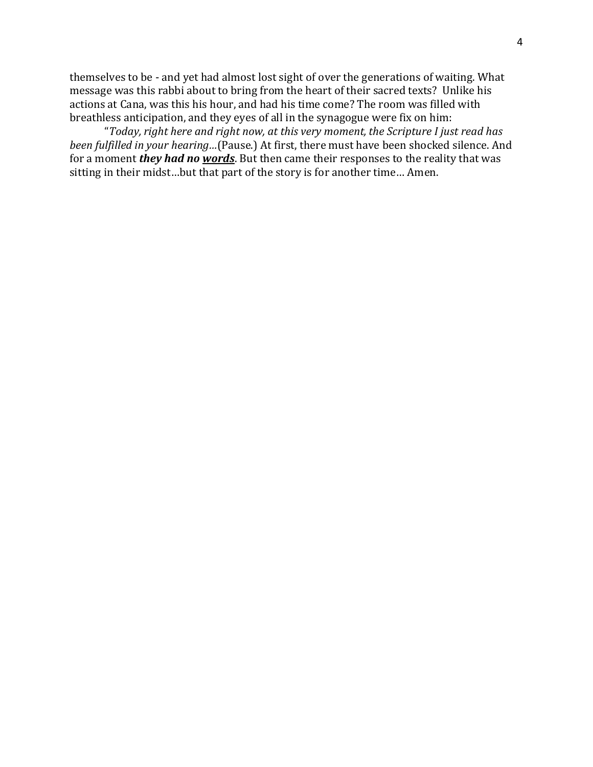themselves to be - and yet had almost lost sight of over the generations of waiting. What message was this rabbi about to bring from the heart of their sacred texts? Unlike his actions at Cana, was this his hour, and had his time come? The room was filled with breathless anticipation, and they eyes of all in the synagogue were fix on him:

"*Today, right here and right now, at this very moment, the Scripture I just read has been fulfilled in your hearing…*(Pause.) At first, there must have been shocked silence. And for a moment *they had no words*. But then came their responses to the reality that was sitting in their midst…but that part of the story is for another time… Amen.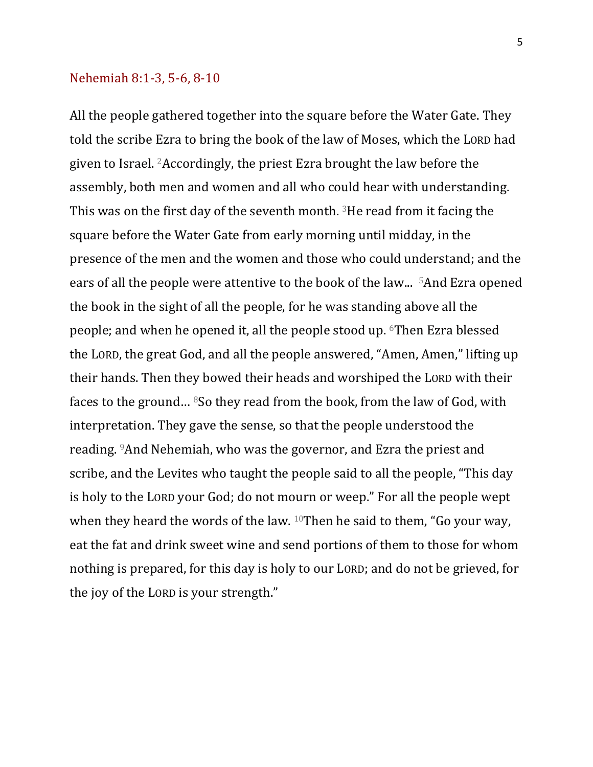## Nehemiah 8:1-3, 5-6, 8-10

All the people gathered together into the square before the Water Gate. They told the scribe Ezra to bring the book of the law of Moses, which the LORD had given to Israel.  $2$ Accordingly, the priest Ezra brought the law before the assembly, both men and women and all who could hear with understanding. This was on the first day of the seventh month.  $3$ He read from it facing the square before the Water Gate from early morning until midday, in the presence of the men and the women and those who could understand; and the ears of all the people were attentive to the book of the law... <sup>5</sup>And Ezra opened the book in the sight of all the people, for he was standing above all the people; and when he opened it, all the people stood up. <sup>6</sup>Then Ezra blessed the LORD, the great God, and all the people answered, "Amen, Amen," lifting up their hands. Then they bowed their heads and worshiped the LORD with their faces to the ground... <sup>8</sup>So they read from the book, from the law of God, with interpretation. They gave the sense, so that the people understood the reading. <sup>9</sup>And Nehemiah, who was the governor, and Ezra the priest and scribe, and the Levites who taught the people said to all the people, "This day is holy to the LORD your God; do not mourn or weep." For all the people wept when they heard the words of the law.  $10$ Then he said to them, "Go your way, eat the fat and drink sweet wine and send portions of them to those for whom nothing is prepared, for this day is holy to our LORD; and do not be grieved, for the joy of the LORD is your strength."